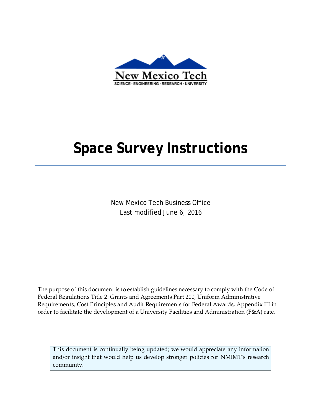

# **Space Survey Instructions**

New Mexico Tech Business Office Last modified June 6, 2016

The purpose of this document is to establish guidelines necessary to comply with the Code of Federal Regulations Title 2: Grants and Agreements Part 200, Uniform Administrative Requirements, Cost Principles and Audit Requirements for Federal Awards, Appendix III in order to facilitate the development of a University Facilities and Administration (F&A) rate.

This document is continually being updated; we would appreciate any information and/or insight that would help us develop stronger policies for NMIMT's research community.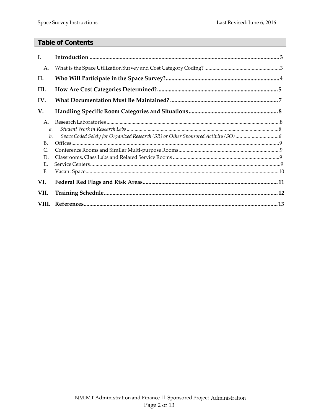## **Table of Contents**

| I.                                                                            |  |
|-------------------------------------------------------------------------------|--|
| Α.                                                                            |  |
| II.                                                                           |  |
| III.                                                                          |  |
| IV.                                                                           |  |
| V.                                                                            |  |
| A.<br>$\mathfrak{a}.$<br>$b$ .<br><b>B.</b><br>$\mathsf{C}$<br>D.<br>Ε.<br>F. |  |
| VI.                                                                           |  |
| VII.                                                                          |  |
|                                                                               |  |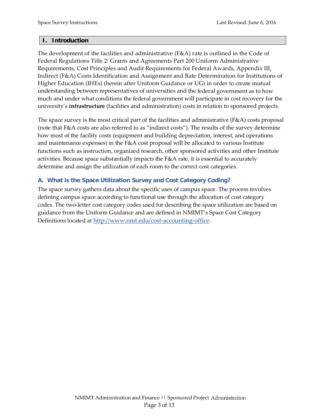#### **I. Introduction**

The development of the facilities and administrative (F&A) rate is outlined in the Code of Federal Regulations Title 2: Grants and Agreements Part 200 Uniform Administrative Requirements, Cost Principles and Audit Requirements for Federal Awards, Appendix III, Indirect (F&A) Costs Identification and Assignment and Rate Determination for Institutions of Higher Education (IHEs) (herein after Uniform Guidance or UG) in order to create mutual understanding between representatives of universities and the federal government as to how much and under what conditions the federal government will participate in cost recovery for the university's **infrastructure** (facilities and administration) costs in relation to sponsored projects.

The space survey is the most critical part of the facilities and administrative (F&A) costs proposal (note that F&A costs are also referred to as "indirect costs"). The results of the survey determine how most of the facility costs (equipment and building depreciation, interest, and operations and maintenance expenses) in the F&A cost proposal will be allocated to various Institute functions such as instruction, organized research, other sponsored activities and other Institute activities. Because space substantially impacts the F&A rate, it is essential to accurately determine and assign the utilization of each room to the correct cost categories.

# **A. What is the Space Utilization Survey and Cost Category Coding?**

The space survey gathers data about the specific uses of campus space. The process involves defining campus space according to functional use through the allocation of cost category codes. The two-letter cost category codes used for describing the space utilization are based on guidance from the Uniform Guidance and are defined in NMIMT's Space Cost Category Definitions located at [http://www.nmt.edu/cost-accounting-office.](http://www.nmt.edu/cost-accounting-office)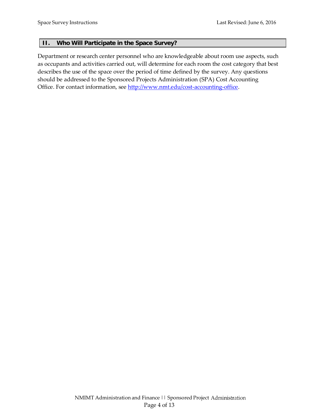#### **II. Who Will Participate in the Space Survey?**

Department or research center personnel who are knowledgeable about room use aspects, such as occupants and activities carried out, will determine for each room the cost category that best describes the use of the space over the period of time defined by the survey. Any questions should be addressed to the Sponsored Projects Administration (SPA) Cost Accounting Office. For contact information, see [http://www.nmt.edu/cost-accounting-office.](http://www.nmt.edu/cost-accounting-office)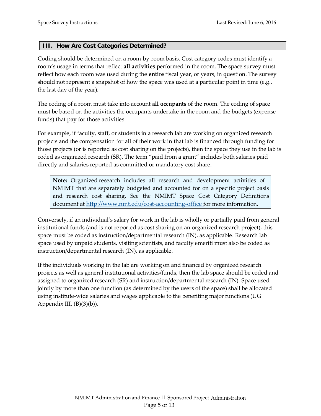#### **III. How Are Cost Categories Determined?**

Coding should be determined on a room-by-room basis. Cost category codes must identify a room's usage in terms that reflect **all activities** performed in the room. The space survey must reflect how each room was used during the **entire** fiscal year, or years, in question. The survey should not represent a snapshot of how the space was used at a particular point in time (e.g., the last day of the year).

The coding of a room must take into account **all occupants** of the room. The coding of space must be based on the activities the occupants undertake in the room and the budgets (expense funds) that pay for those activities.

For example, if faculty, staff, or students in a research lab are working on organized research projects and the compensation for all of their work in that lab is financed through funding for those projects (or is reported as cost sharing on the projects), then the space they use in the lab is coded as organized research (SR). The term "paid from a grant" includes both salaries paid directly and salaries reported as committed or mandatory cost share.

**Note:** Organized research includes all research and development activities of NMIMT that are separately budgeted and accounted for on a specific project basis and research cost sharing. See the NMIMT Space Cost Category Definitions document at [http://www.nmt.edu/cost-accounting-office f](http://www.nmt.edu/cost-accounting-office)or more information.

Conversely, if an individual's salary for work in the lab is wholly or partially paid from general institutional funds (and is not reported as cost sharing on an organized research project), this space must be coded as instruction/departmental research (IN), as applicable. Research lab space used by unpaid students, visiting scientists, and faculty emeriti must also be coded as instruction/departmental research (IN), as applicable.

If the individuals working in the lab are working on and financed by organized research projects as well as general institutional activities/funds, then the lab space should be coded and assigned to organized research (SR) and instruction/departmental research (IN). Space used jointly by more than one function (as determined by the users of the space) shall be allocated using institute-wide salaries and wages applicable to the benefiting major functions (UG Appendix III,  $(B)(3)(b)$ ).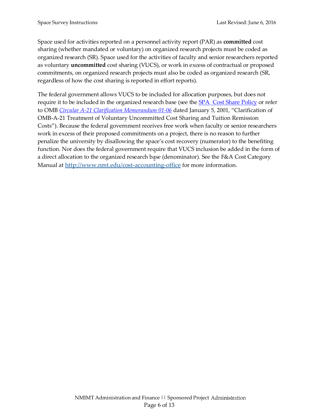Space used for activities reported on a personnel activity report (PAR) as **committed** cost sharing (whether mandated or voluntary) on organized research projects must be coded as organized research (SR). Space used for the activities of faculty and senior researchers reported as voluntary **uncommitted** cost sharing (VUCS), or work in excess of contractual or proposed commitments, on organized research projects must also be coded as organized research (SR, regardless of how the cost sharing is reported in effort reports).

The federal government allows VUCS to be included for allocation purposes, but does not require it to be included in the organized research base (see the [SPA Cost Share Policy](https://www.nmt.edu/images/stories/restricted_funds/UG_Cost_Share_Policy_March_2016_Final.pdf) or refer to OMB *[Circular A-21 Clarification](http://www.whitehouse.gov/omb/memoranda_m01-06) Memorandum 01-06* dated January 5, 2001, "Clarification of OMB-A-21 Treatment of Voluntary Uncommitted Cost Sharing and Tuition Remission Costs"). Because the federal government receives free work when faculty or senior researchers work in excess of their proposed commitments on a project, there is no reason to further penalize the university by disallowing the space's cost recovery (numerator) to the benefiting function. Nor does the federal government require that VUCS inclusion be added in the form of a direct allocation to the organized research base (denominator). See the F&A Cost Category Manual at [http://www.nmt.edu/cost-accounting-office f](http://www.nmt.edu/cost-accounting-office)or more information.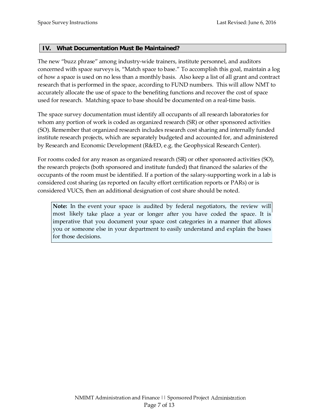#### **IV. What Documentation Must Be Maintained?**

The new "buzz phrase" among industry-wide trainers, institute personnel, and auditors concerned with space surveys is, "Match space to base." To accomplish this goal, maintain a log of how a space is used on no less than a monthly basis. Also keep a list of all grant and contract research that is performed in the space, according to FUND numbers. This will allow NMT to accurately allocate the use of space to the benefiting functions and recover the cost of space used for research. Matching space to base should be documented on a real-time basis.

The space survey documentation must identify all occupants of all research laboratories for whom any portion of work is coded as organized research (SR) or other sponsored activities (SO). Remember that organized research includes research cost sharing and internally funded institute research projects, which are separately budgeted and accounted for, and administered by Research and Economic Development (R&ED, e.g. the Geophysical Research Center).

For rooms coded for any reason as organized research (SR) or other sponsored activities (SO), the research projects (both sponsored and institute funded) that financed the salaries of the occupants of the room must be identified. If a portion of the salary-supporting work in a lab is considered cost sharing (as reported on faculty effort certification reports or PARs) or is considered VUCS, then an additional designation of cost share should be noted.

**Note:** In the event your space is audited by federal negotiators, the review will most likely take place a year or longer after you have coded the space. It is imperative that you document your space cost categories in a manner that allows you or someone else in your department to easily understand and explain the bases for those decisions.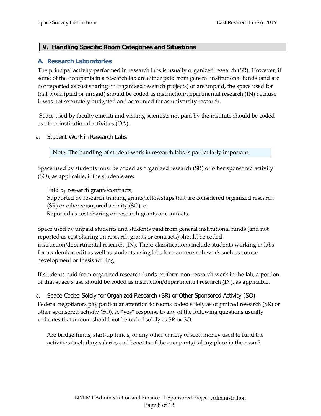#### **V. Handling Specific Room Categories and Situations**

#### **A. Research Laboratories**

The principal activity performed in research labs is usually organized research (SR). However, if some of the occupants in a research lab are either paid from general institutional funds (and are not reported as cost sharing on organized research projects) or are unpaid, the space used for that work (paid or unpaid) should be coded as instruction/departmental research (IN) because it was not separately budgeted and accounted for as university research.

Space used by faculty emeriti and visiting scientists not paid by the institute should be coded as other institutional activities (OA).

a. Student Work in Research Labs

Note: The handling of student work in research labs is particularly important.

Space used by students must be coded as organized research (SR) or other sponsored activity (SO), as applicable, if the students are:

Paid by research grants/contracts,

Supported by research training grants/fellowships that are considered organized research (SR) or other sponsored activity (SO), or

Reported as cost sharing on research grants or contracts.

Space used by unpaid students and students paid from general institutional funds (and not reported as cost sharing on research grants or contracts) should be coded instruction/departmental research (IN). These classifications include students working in labs for academic credit as well as students using labs for non-research work such as course development or thesis writing.

If students paid from organized research funds perform non-research work in the lab, a portion of that space's use should be coded as instruction/departmental research (IN), as applicable.

b. Space Coded Solely for Organized Research (SR) or Other Sponsored Activity (SO) Federal negotiators pay particular attention to rooms coded solely as organized research (SR) or other sponsored activity (SO). A "yes" response to any of the following questions usually indicates that a room should **not** be coded solely as SR or SO:

 Are bridge funds, start-up funds, or any other variety of seed money used to fund the activities (including salaries and benefits of the occupants) taking place in the room?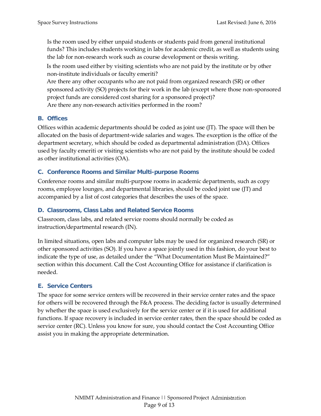Is the room used by either unpaid students or students paid from general institutional funds? This includes students working in labs for academic credit, as well as students using the lab for non-research work such as course development or thesis writing.

 Is the room used either by visiting scientists who are not paid by the institute or by other non-institute individuals or faculty emeriti?

 Are there any other occupants who are not paid from organized research (SR) or other sponsored activity (SO) projects for their work in the lab (except where those non-sponsored project funds are considered cost sharing for a sponsored project)? Are there any non-research activities performed in the room?

## **B. Offices**

Offices within academic departments should be coded as joint use (JT). The space will then be allocated on the basis of department-wide salaries and wages. The exception is the office of the department secretary, which should be coded as departmental administration (DA). Offices used by faculty emeriti or visiting scientists who are not paid by the institute should be coded as other institutional activities (OA).

#### **C. Conference Rooms and Similar Multi-purpose Rooms**

Conference rooms and similar multi-purpose rooms in academic departments, such as copy rooms, employee lounges, and departmental libraries, should be coded joint use (JT) and accompanied by a list of cost categories that describes the uses of the space.

#### **D. Classrooms, Class Labs and Related Service Rooms**

Classroom, class labs, and related service rooms should normally be coded as instruction/departmental research (IN).

In limited situations, open labs and computer labs may be used for organized research (SR) or other sponsored activities (SO). If you have a space jointly used in this fashion, do your best to indicate the type of use, as detailed under the "What Documentation Must Be Maintained?" section within this document. Call the Cost Accounting Office for assistance if clarification is needed.

# **E. Service Centers**

The space for some service centers will be recovered in their service center rates and the space for others will be recovered through the F&A process. The deciding factor is usually determined by whether the space is used exclusively for the service center or if it is used for additional functions. If space recovery is included in service center rates, then the space should be coded as service center (RC). Unless you know for sure, you should contact the Cost Accounting Office assist you in making the appropriate determination.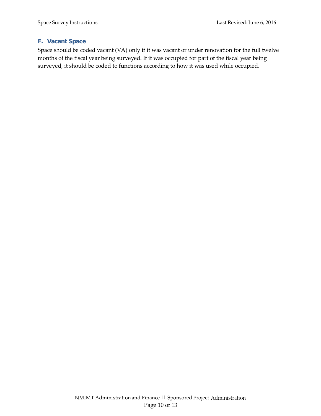#### **F. Vacant Space**

Space should be coded vacant (VA) only if it was vacant or under renovation for the full twelve months of the fiscal year being surveyed. If it was occupied for part of the fiscal year being surveyed, it should be coded to functions according to how it was used while occupied.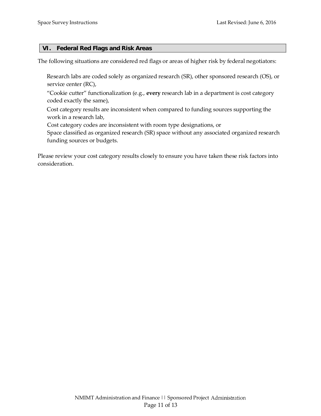#### **VI. Federal Red Flags and Risk Areas**

The following situations are considered red flags or areas of higher risk by federal negotiators:

- Research labs are coded solely as organized research (SR), other sponsored research (OS), or service center (RC),
- "Cookie cutter" functionalization (e.g., **every** research lab in a department is cost category coded exactly the same),
- Cost category results are inconsistent when compared to funding sources supporting the work in a research lab,
- Cost category codes are inconsistent with room type designations, or
- Space classified as organized research (SR) space without any associated organized research funding sources or budgets.

Please review your cost category results closely to ensure you have taken these risk factors into consideration.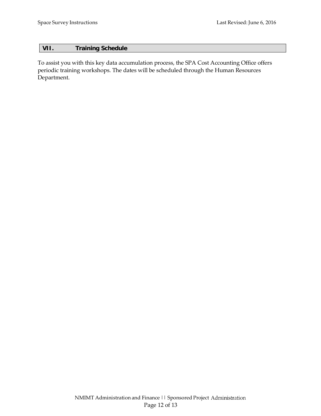## **VII. Training Schedule**

To assist you with this key data accumulation process, the SPA Cost Accounting Office offers periodic training workshops. The dates will be scheduled through the Human Resources Department.